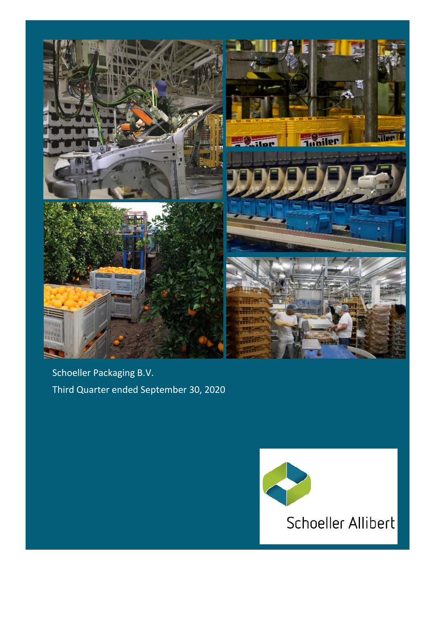

Schoeller Packaging B.V. Third Quarter ended September 30, 2020

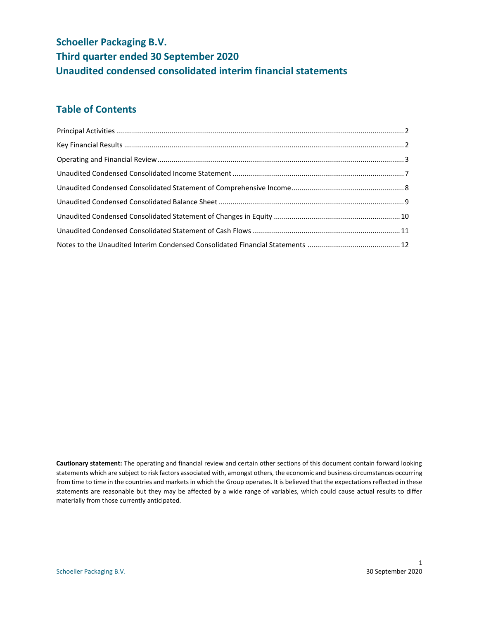# **Schoeller Packaging B.V. Third quarter ended 30 September 2020 Unaudited condensed consolidated interim financial statements**

## **Table of Contents**

**Cautionary statement:** The operating and financial review and certain other sections of this document contain forward looking statements which are subject to risk factors associated with, amongst others, the economic and business circumstances occurring from time to time in the countries and markets in which the Group operates. It is believed that the expectations reflected in these statements are reasonable but they may be affected by a wide range of variables, which could cause actual results to differ materially from those currently anticipated.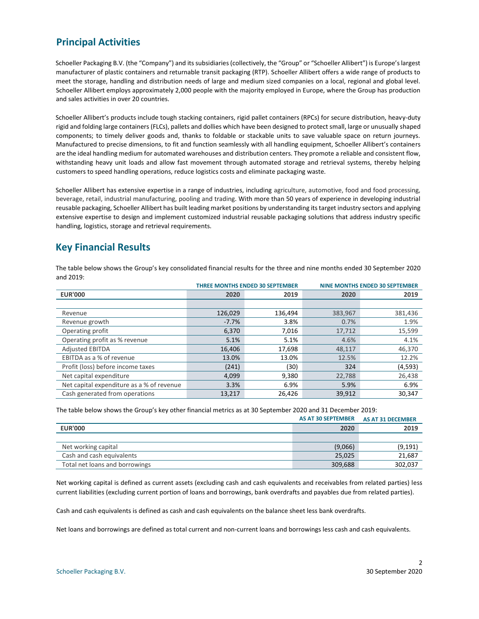### <span id="page-2-0"></span>**Principal Activities**

Schoeller Packaging B.V. (the "Company") and its subsidiaries (collectively, the "Group" or "Schoeller Allibert") is Europe's largest manufacturer of plastic containers and returnable transit packaging (RTP). Schoeller Allibert offers a wide range of products to meet the storage, handling and distribution needs of large and medium sized companies on a local, regional and global level. Schoeller Allibert employs approximately 2,000 people with the majority employed in Europe, where the Group has production and sales activities in over 20 countries.

Schoeller Allibert's products include tough stacking containers, rigid pallet containers (RPCs) for secure distribution, heavy-duty rigid and folding large containers (FLCs), pallets and dollies which have been designed to protect small, large or unusually shaped components; to timely deliver goods and, thanks to foldable or stackable units to save valuable space on return journeys. Manufactured to precise dimensions, to fit and function seamlessly with all handling equipment, Schoeller Allibert's containers are the ideal handling medium for automated warehouses and distribution centers. They promote a reliable and consistent flow, withstanding heavy unit loads and allow fast movement through automated storage and retrieval systems, thereby helping customers to speed handling operations, reduce logistics costs and eliminate packaging waste.

Schoeller Allibert has extensive expertise in a range of industries, including agriculture, automotive, food and food processing, beverage, retail, industrial manufacturing, pooling and trading. With more than 50 years of experience in developing industrial reusable packaging, Schoeller Allibert has built leading market positions by understanding its target industry sectors and applying extensive expertise to design and implement customized industrial reusable packaging solutions that address industry specific handling, logistics, storage and retrieval requirements.

### <span id="page-2-1"></span>**Key Financial Results**

The table below shows the Group's key consolidated financial results for the three and nine months ended 30 September 2020 and 2019:

|                                           |         | <b>THREE MONTHS ENDED 30 SEPTEMBER</b> |         | <b>NINE MONTHS ENDED 30 SEPTEMBER</b> |
|-------------------------------------------|---------|----------------------------------------|---------|---------------------------------------|
| <b>EUR'000</b>                            | 2020    | 2019                                   | 2020    | 2019                                  |
|                                           |         |                                        |         |                                       |
| Revenue                                   | 126,029 | 136,494                                | 383,967 | 381,436                               |
| Revenue growth                            | $-7.7%$ | 3.8%                                   | 0.7%    | 1.9%                                  |
| Operating profit                          | 6,370   | 7,016                                  | 17,712  | 15,599                                |
| Operating profit as % revenue             | 5.1%    | 5.1%                                   | 4.6%    | 4.1%                                  |
| <b>Adjusted EBITDA</b>                    | 16,406  | 17,698                                 | 48,117  | 46,370                                |
| EBITDA as a % of revenue                  | 13.0%   | 13.0%                                  | 12.5%   | 12.2%                                 |
| Profit (loss) before income taxes         | (241)   | (30)                                   | 324     | (4,593)                               |
| Net capital expenditure                   | 4,099   | 9,380                                  | 22,788  | 26,438                                |
| Net capital expenditure as a % of revenue | 3.3%    | 6.9%                                   | 5.9%    | 6.9%                                  |
| Cash generated from operations            | 13.217  | 26,426                                 | 39.912  | 30,347                                |

The table below shows the Group's key other financial metrics as at 30 September 2020 and 31 December 2019:

|                                | <b>AS AT 30 SEPTEMBER</b> | <b>AS AT 31 DECEMBER</b> |
|--------------------------------|---------------------------|--------------------------|
| <b>EUR'000</b>                 | 2020                      | 2019                     |
|                                |                           |                          |
| Net working capital            | (9,066)                   | (9, 191)                 |
| Cash and cash equivalents      | 25.025                    | 21,687                   |
| Total net loans and borrowings | 309,688                   | 302,037                  |

Net working capital is defined as current assets (excluding cash and cash equivalents and receivables from related parties) less current liabilities (excluding current portion of loans and borrowings, bank overdrafts and payables due from related parties).

Cash and cash equivalents is defined as cash and cash equivalents on the balance sheet less bank overdrafts.

Net loans and borrowings are defined as total current and non-current loans and borrowings less cash and cash equivalents.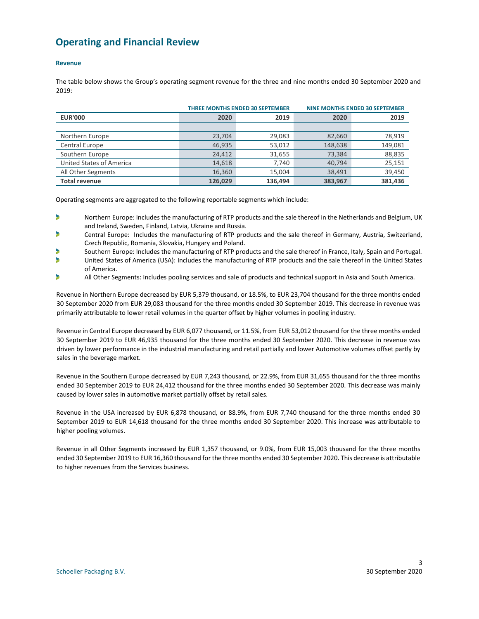### <span id="page-3-0"></span>**Operating and Financial Review**

#### **Revenue**

The table below shows the Group's operating segment revenue for the three and nine months ended 30 September 2020 and  $2019.$ 

|                          |         | <b>THREE MONTHS ENDED 30 SEPTEMBER</b> |         | <b>NINE MONTHS ENDED 30 SEPTEMBER</b> |
|--------------------------|---------|----------------------------------------|---------|---------------------------------------|
| <b>EUR'000</b>           | 2020    | 2019                                   | 2020    | 2019                                  |
|                          |         |                                        |         |                                       |
| Northern Europe          | 23,704  | 29,083                                 | 82,660  | 78,919                                |
| Central Europe           | 46,935  | 53,012                                 | 148,638 | 149,081                               |
| Southern Europe          | 24,412  | 31,655                                 | 73,384  | 88,835                                |
| United States of America | 14,618  | 7,740                                  | 40,794  | 25,151                                |
| All Other Segments       | 16,360  | 15,004                                 | 38,491  | 39,450                                |
| <b>Total revenue</b>     | 126,029 | 136,494                                | 383,967 | 381,436                               |

Operating segments are aggregated to the following reportable segments which include:

- b Northern Europe: Includes the manufacturing of RTP products and the sale thereof in the Netherlands and Belgium, UK and Ireland, Sweden, Finland, Latvia, Ukraine and Russia.
- ٠ Central Europe: Includes the manufacturing of RTP products and the sale thereof in Germany, Austria, Switzerland, Czech Republic, Romania, Slovakia, Hungary and Poland.
- ٠ Southern Europe: Includes the manufacturing of RTP products and the sale thereof in France, Italy, Spain and Portugal.
- United States of America (USA): Includes the manufacturing of RTP products and the sale thereof in the United States of America.
- All Other Segments: Includes pooling services and sale of products and technical support in Asia and South America.

Revenue in Northern Europe decreased by EUR 5,379 thousand, or 18.5%, to EUR 23,704 thousand for the three months ended 30 September 2020 from EUR 29,083 thousand for the three months ended 30 September 2019. This decrease in revenue was primarily attributable to lower retail volumes in the quarter offset by higher volumes in pooling industry.

Revenue in Central Europe decreased by EUR 6,077 thousand, or 11.5%, from EUR 53,012 thousand for the three months ended 30 September 2019 to EUR 46,935 thousand for the three months ended 30 September 2020. This decrease in revenue was driven by lower performance in the industrial manufacturing and retail partially and lower Automotive volumes offset partly by sales in the beverage market.

Revenue in the Southern Europe decreased by EUR 7,243 thousand, or 22.9%, from EUR 31,655 thousand for the three months ended 30 September 2019 to EUR 24,412 thousand for the three months ended 30 September 2020. This decrease was mainly caused by lower sales in automotive market partially offset by retail sales.

Revenue in the USA increased by EUR 6,878 thousand, or 88.9%, from EUR 7,740 thousand for the three months ended 30 September 2019 to EUR 14,618 thousand for the three months ended 30 September 2020. This increase was attributable to higher pooling volumes.

Revenue in all Other Segments increased by EUR 1,357 thousand, or 9.0%, from EUR 15,003 thousand for the three months ended 30 September 2019 to EUR 16,360 thousand for the three months ended 30 September 2020. This decrease is attributable to higher revenues from the Services business.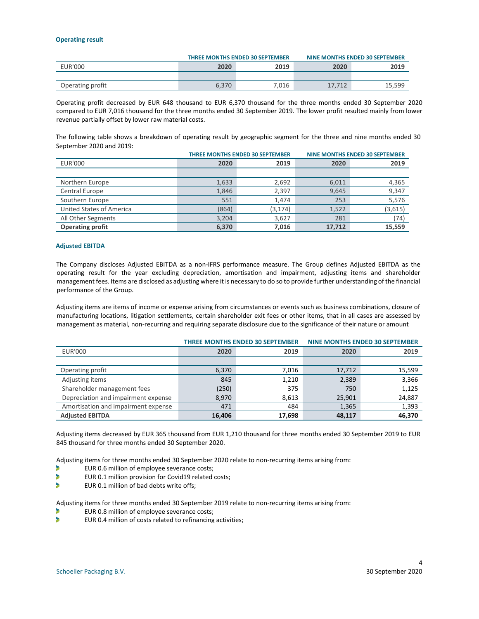#### **Operating result**

|                  |       | <b>THREE MONTHS ENDED 30 SEPTEMBER</b> |      | NINE MONTHS ENDED 30 SEPTEMBER |
|------------------|-------|----------------------------------------|------|--------------------------------|
| <b>EUR'000</b>   | 2020  | 2019                                   | 2020 | 2019                           |
|                  |       |                                        |      |                                |
| Operating profit | 6.370 | 7.016                                  |      | 15.599                         |

Operating profit decreased by EUR 648 thousand to EUR 6,370 thousand for the three months ended 30 September 2020 compared to EUR 7,016 thousand for the three months ended 30 September 2019. The lower profit resulted mainly from lower revenue partially offset by lower raw material costs.

The following table shows a breakdown of operating result by geographic segment for the three and nine months ended 30 September 2020 and 2019:

|                          |       | THREE MONTHS ENDED 30 SEPTEMBER |        | NINE MONTHS ENDED 30 SEPTEMBER |
|--------------------------|-------|---------------------------------|--------|--------------------------------|
| <b>EUR'000</b>           | 2020  | 2019                            | 2020   | 2019                           |
|                          |       |                                 |        |                                |
| Northern Europe          | 1,633 | 2,692                           | 6,011  | 4,365                          |
| Central Europe           | 1,846 | 2,397                           | 9,645  | 9,347                          |
| Southern Europe          | 551   | 1.474                           | 253    | 5,576                          |
| United States of America | (864) | (3, 174)                        | 1,522  | (3,615)                        |
| All Other Segments       | 3,204 | 3,627                           | 281    | (74)                           |
| <b>Operating profit</b>  | 6,370 | 7,016                           | 17.712 | 15,559                         |

#### **Adjusted EBITDA**

The Company discloses Adjusted EBITDA as a non-IFRS performance measure. The Group defines Adjusted EBITDA as the operating result for the year excluding depreciation, amortisation and impairment, adjusting items and shareholder management fees. Items are disclosed as adjusting where it is necessary to do so to provide further understanding of the financial performance of the Group.

Adjusting items are items of income or expense arising from circumstances or events such as business combinations, closure of manufacturing locations, litigation settlements, certain shareholder exit fees or other items, that in all cases are assessed by management as material, non-recurring and requiring separate disclosure due to the significance of their nature or amount

|                                     |        | <b>THREE MONTHS ENDED 30 SEPTEMBER</b> |        | <b>NINE MONTHS ENDED 30 SEPTEMBER</b> |
|-------------------------------------|--------|----------------------------------------|--------|---------------------------------------|
| <b>EUR'000</b>                      | 2020   | 2019                                   | 2020   | 2019                                  |
|                                     |        |                                        |        |                                       |
| Operating profit                    | 6,370  | 7,016                                  | 17,712 | 15,599                                |
| Adjusting items                     | 845    | 1,210                                  | 2,389  | 3,366                                 |
| Shareholder management fees         | (250)  | 375                                    | 750    | 1,125                                 |
| Depreciation and impairment expense | 8,970  | 8,613                                  | 25,901 | 24,887                                |
| Amortisation and impairment expense | 471    | 484                                    | 1,365  | 1,393                                 |
| <b>Adjusted EBITDA</b>              | 16,406 | 17,698                                 | 48,117 | 46,370                                |

Adjusting items decreased by EUR 365 thousand from EUR 1,210 thousand for three months ended 30 September 2019 to EUR 845 thousand for three months ended 30 September 2020.

Adjusting items for three months ended 30 September 2020 relate to non-recurring items arising from:

- b EUR 0.6 million of employee severance costs;
- EUR 0.1 million provision for Covid19 related costs; ×
- b EUR 0.1 million of bad debts write offs;

Adjusting items for three months ended 30 September 2019 relate to non-recurring items arising from:

- EUR 0.8 million of employee severance costs;
- b EUR 0.4 million of costs related to refinancing activities;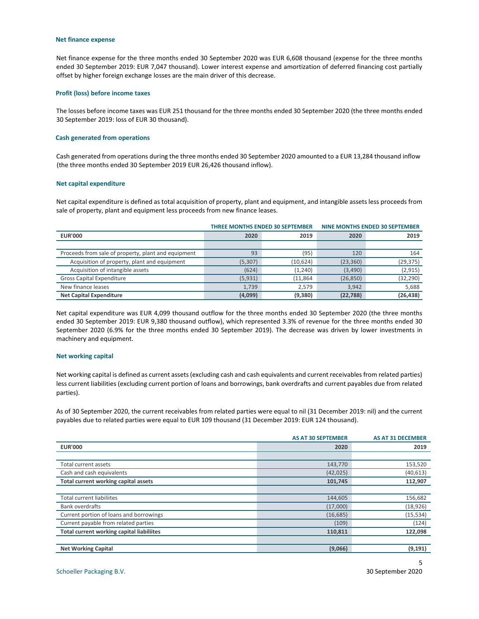#### **Net finance expense**

Net finance expense for the three months ended 30 September 2020 was EUR 6,608 thousand (expense for the three months ended 30 September 2019: EUR 7,047 thousand). Lower interest expense and amortization of deferred financing cost partially offset by higher foreign exchange losses are the main driver of this decrease.

#### **Profit (loss) before income taxes**

The losses before income taxes was EUR 251 thousand for the three months ended 30 September 2020 (the three months ended 30 September 2019: loss of EUR 30 thousand).

#### **Cash generated from operations**

Cash generated from operations during the three months ended 30 September 2020 amounted to a EUR 13,284 thousand inflow (the three months ended 30 September 2019 EUR 26,426 thousand inflow).

#### **Net capital expenditure**

Net capital expenditure is defined as total acquisition of property, plant and equipment, and intangible assets less proceeds from sale of property, plant and equipment less proceeds from new finance leases.

|                                                     |          | THREE MONTHS ENDED 30 SEPTEMBER |           | <b>NINE MONTHS ENDED 30 SEPTEMBER</b> |
|-----------------------------------------------------|----------|---------------------------------|-----------|---------------------------------------|
| <b>EUR'000</b>                                      | 2020     | 2019                            | 2020      | 2019                                  |
|                                                     |          |                                 |           |                                       |
| Proceeds from sale of property, plant and equipment | 93       | (95)                            | 120       | 164                                   |
| Acquisition of property, plant and equipment        | (5, 307) | (10, 624)                       | (23, 360) | (29, 375)                             |
| Acquisition of intangible assets                    | (624)    | (1, 240)                        | (3,490)   | (2, 915)                              |
| <b>Gross Capital Expenditure</b>                    | (5,931)  | (11, 864)                       | (26, 850) | (32, 290)                             |
| New finance leases                                  | 1.739    | 2.579                           | 3.942     | 5,688                                 |
| <b>Net Capital Expenditure</b>                      | (4,099)  | (9,380)                         | (22, 788) | (26, 438)                             |

Net capital expenditure was EUR 4,099 thousand outflow for the three months ended 30 September 2020 (the three months ended 30 September 2019: EUR 9,380 thousand outflow), which represented 3.3% of revenue for the three months ended 30 September 2020 (6.9% for the three months ended 30 September 2019). The decrease was driven by lower investments in machinery and equipment.

#### **Net working capital**

Net working capital is defined as current assets (excluding cash and cash equivalents and current receivables from related parties) less current liabilities (excluding current portion of loans and borrowings, bank overdrafts and current payables due from related parties).

As of 30 September 2020, the current receivables from related parties were equal to nil (31 December 2019: nil) and the current payables due to related parties were equal to EUR 109 thousand (31 December 2019: EUR 124 thousand).

|                                                  | <b>AS AT 30 SEPTEMBER</b> | <b>AS AT 31 DECEMBER</b> |
|--------------------------------------------------|---------------------------|--------------------------|
| <b>EUR'000</b>                                   | 2020                      | 2019                     |
|                                                  |                           |                          |
| Total current assets                             | 143,770                   | 153,520                  |
| Cash and cash equivalents                        | (42, 025)                 | (40, 613)                |
| Total current working capital assets             | 101,745                   | 112,907                  |
|                                                  |                           |                          |
| <b>Total current liabiliites</b>                 | 144,605                   | 156,682                  |
| <b>Bank overdrafts</b>                           | (17,000)                  | (18, 926)                |
| Current portion of loans and borrowings          | (16, 685)                 | (15, 534)                |
| Current payable from related parties             | (109)                     | (124)                    |
| <b>Total current working capital liabiliites</b> | 110,811                   | 122,098                  |
|                                                  |                           |                          |
| <b>Net Working Capital</b>                       | (9,066)                   | (9, 191)                 |

5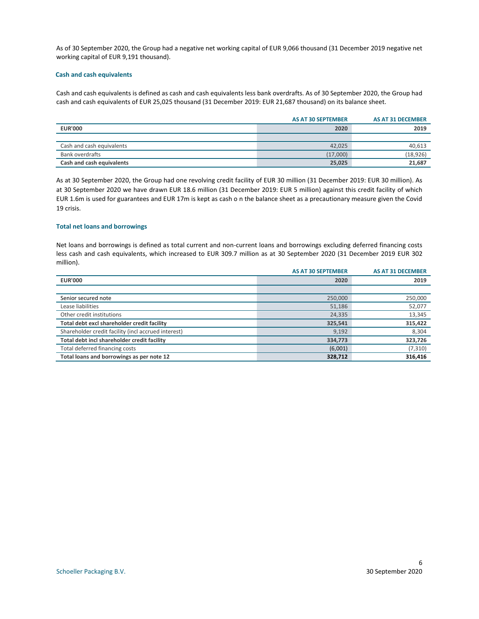As of 30 September 2020, the Group had a negative net working capital of EUR 9,066 thousand (31 December 2019 negative net working capital of EUR 9,191 thousand).

#### **Cash and cash equivalents**

Cash and cash equivalents is defined as cash and cash equivalents less bank overdrafts. As of 30 September 2020, the Group had cash and cash equivalents of EUR 25,025 thousand (31 December 2019: EUR 21,687 thousand) on its balance sheet.

|                           | <b>AS AT 30 SEPTEMBER</b> | AS AT 31 DECEMBER |
|---------------------------|---------------------------|-------------------|
| <b>EUR'000</b>            | 2020                      | 2019              |
|                           |                           |                   |
| Cash and cash equivalents | 42,025                    | 40,613            |
| Bank overdrafts           | (17,000)                  | (18, 926)         |
| Cash and cash equivalents | 25,025                    | 21,687            |

As at 30 September 2020, the Group had one revolving credit facility of EUR 30 million (31 December 2019: EUR 30 million). As at 30 September 2020 we have drawn EUR 18.6 million (31 December 2019: EUR 5 million) against this credit facility of which EUR 1.6m is used for guarantees and EUR 17m is kept as cash o n the balance sheet as a precautionary measure given the Covid 19 crisis.

#### **Total net loans and borrowings**

Net loans and borrowings is defined as total current and non-current loans and borrowings excluding deferred financing costs less cash and cash equivalents, which increased to EUR 309.7 million as at 30 September 2020 (31 December 2019 EUR 302 million).

|                                                     | <b>AS AT 30 SEPTEMBER</b> | <b>AS AT 31 DECEMBER</b> |
|-----------------------------------------------------|---------------------------|--------------------------|
| <b>EUR'000</b>                                      | 2020                      | 2019                     |
|                                                     |                           |                          |
| Senior secured note                                 | 250,000                   | 250,000                  |
| Lease liabilities                                   | 51,186                    | 52,077                   |
| Other credit institutions                           | 24,335                    | 13,345                   |
| Total debt excl shareholder credit facility         | 325,541                   | 315,422                  |
| Shareholder credit facility (incl accrued interest) | 9,192                     | 8.304                    |
| Total debt incl shareholder credit facility         | 334,773                   | 323,726                  |
| Total deferred financing costs                      | (6,001)                   | (7, 310)                 |
| Total loans and borrowings as per note 12           | 328,712                   | 316,416                  |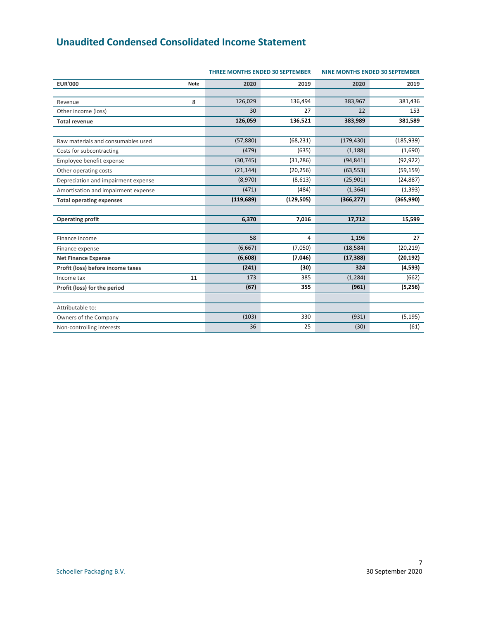# <span id="page-7-0"></span>**Unaudited Condensed Consolidated Income Statement**

|                                     | <b>THREE MONTHS ENDED 30 SEPTEMBER</b> |            |            | <b>NINE MONTHS ENDED 30 SEPTEMBER</b> |            |
|-------------------------------------|----------------------------------------|------------|------------|---------------------------------------|------------|
| <b>EUR'000</b>                      | <b>Note</b>                            | 2020       | 2019       | 2020                                  | 2019       |
| Revenue                             | 8                                      | 126,029    | 136,494    | 383,967                               | 381,436    |
| Other income (loss)                 |                                        | 30         | 27         | 22                                    | 153        |
| <b>Total revenue</b>                |                                        | 126,059    | 136,521    | 383,989                               | 381,589    |
| Raw materials and consumables used  |                                        | (57, 880)  | (68, 231)  | (179, 430)                            | (185, 939) |
|                                     |                                        |            | (635)      |                                       | (1,690)    |
| Costs for subcontracting            |                                        | (479)      |            | (1, 188)                              |            |
| Employee benefit expense            |                                        | (30, 745)  | (31, 286)  | (94, 841)                             | (92, 922)  |
| Other operating costs               |                                        | (21, 144)  | (20, 256)  | (63, 553)                             | (59, 159)  |
| Depreciation and impairment expense |                                        | (8,970)    | (8,613)    | (25,901)                              | (24, 887)  |
| Amortisation and impairment expense |                                        | (471)      | (484)      | (1, 364)                              | (1, 393)   |
| <b>Total operating expenses</b>     |                                        | (119, 689) | (129, 505) | (366, 277)                            | (365,990)  |
| <b>Operating profit</b>             |                                        | 6,370      | 7,016      | 17,712                                | 15,599     |
|                                     |                                        |            |            |                                       |            |
| Finance income                      |                                        | 58         | 4          | 1,196                                 | 27         |
| Finance expense                     |                                        | (6,667)    | (7,050)    | (18, 584)                             | (20, 219)  |
| <b>Net Finance Expense</b>          |                                        | (6,608)    | (7,046)    | (17, 388)                             | (20, 192)  |
| Profit (loss) before income taxes   |                                        | (241)      | (30)       | 324                                   | (4,593)    |
| Income tax                          | 11                                     | 173        | 385        | (1, 284)                              | (662)      |
| Profit (loss) for the period        |                                        | (67)       | 355        | (961)                                 | (5,256)    |
| Attributable to:                    |                                        |            |            |                                       |            |
|                                     |                                        |            |            |                                       |            |
| Owners of the Company               |                                        | (103)      | 330        | (931)                                 | (5, 195)   |
| Non-controlling interests           |                                        | 36         | 25         | (30)                                  | (61)       |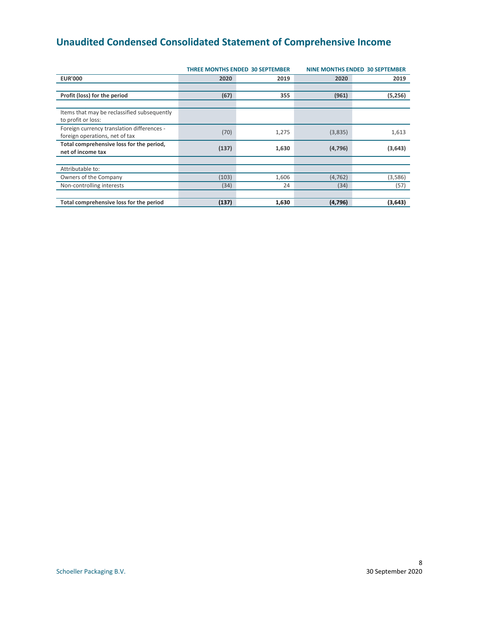# <span id="page-8-0"></span>**Unaudited Condensed Consolidated Statement of Comprehensive Income**

|                                                                              |       | <b>THREE MONTHS ENDED 30 SEPTEMBER</b> | <b>NINE MONTHS ENDED 30 SEPTEMBER</b> |         |  |
|------------------------------------------------------------------------------|-------|----------------------------------------|---------------------------------------|---------|--|
| <b>EUR'000</b>                                                               | 2020  | 2019                                   | 2020                                  | 2019    |  |
|                                                                              |       |                                        |                                       |         |  |
| Profit (loss) for the period                                                 | (67)  | 355                                    | (961)                                 | (5,256) |  |
|                                                                              |       |                                        |                                       |         |  |
| Items that may be reclassified subsequently<br>to profit or loss:            |       |                                        |                                       |         |  |
| Foreign currency translation differences -<br>foreign operations, net of tax | (70)  | 1,275                                  | (3,835)                               | 1,613   |  |
| Total comprehensive loss for the period,<br>net of income tax                | (137) | 1,630                                  | (4,796)                               | (3,643) |  |
|                                                                              |       |                                        |                                       |         |  |
| Attributable to:                                                             |       |                                        |                                       |         |  |
| Owners of the Company                                                        | (103) | 1,606                                  | (4, 762)                              | (3,586) |  |
| Non-controlling interests                                                    | (34)  | 24                                     | (34)                                  | (57)    |  |
|                                                                              |       |                                        |                                       |         |  |
| Total comprehensive loss for the period                                      | (137) | 1,630                                  | (4, 796)                              | (3,643) |  |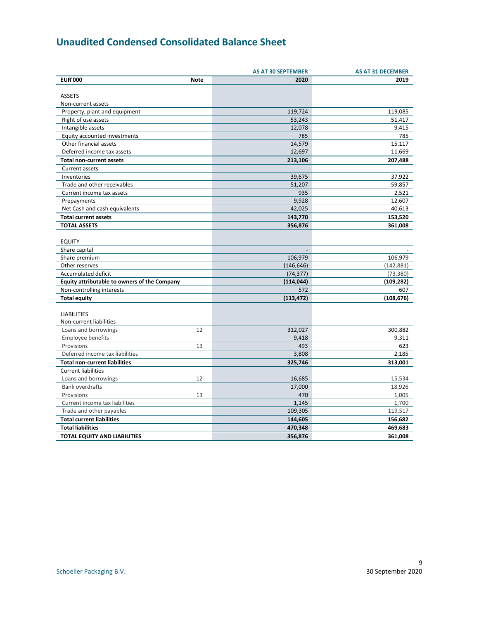## <span id="page-9-0"></span>**Unaudited Condensed Consolidated Balance Sheet**

|                                              |             | <b>AS AT 30 SEPTEMBER</b> | <b>AS AT 31 DECEMBER</b> |
|----------------------------------------------|-------------|---------------------------|--------------------------|
| <b>EUR'000</b>                               | <b>Note</b> | 2020                      | 2019                     |
|                                              |             |                           |                          |
| <b>ASSETS</b>                                |             |                           |                          |
| Non-current assets                           |             |                           |                          |
| Property, plant and equipment                |             | 119,724                   | 119,085                  |
| Right of use assets                          |             | 53,243                    | 51,417                   |
| Intangible assets                            |             | 12,078                    | 9,415                    |
| Equity accounted investments                 |             | 785                       | 785                      |
| Other financial assets                       |             | 14,579                    | 15,117                   |
| Deferred income tax assets                   |             | 12,697                    | 11,669                   |
| <b>Total non-current assets</b>              |             | 213,106                   | 207,488                  |
| Current assets                               |             |                           |                          |
| Inventories                                  |             | 39,675                    | 37,922                   |
| Trade and other receivables                  |             | 51,207                    | 59,857                   |
| Current income tax assets                    |             | 935                       | 2,521                    |
| Prepayments                                  |             | 9,928                     | 12,607                   |
| Net Cash and cash equivalents                |             | 42,025                    | 40,613                   |
| <b>Total current assets</b>                  |             | 143,770                   | 153,520                  |
| <b>TOTAL ASSETS</b>                          |             | 356,876                   | 361,008                  |
|                                              |             |                           |                          |
| <b>EQUITY</b>                                |             |                           |                          |
| Share capital                                |             | $\overline{a}$            |                          |
| Share premium                                |             | 106,979                   | 106,979                  |
| Other reserves                               |             | (146, 646)                | (142, 881)               |
| Accumulated deficit                          |             | (74, 377)                 | (73, 380)                |
| Equity attributable to owners of the Company |             | (114,044)                 | (109, 282)               |
| Non-controlling interests                    |             | 572                       | 607                      |
| <b>Total equity</b>                          |             | (113, 472)                | (108, 676)               |
|                                              |             |                           |                          |
| <b>LIABILITIES</b>                           |             |                           |                          |
| Non-current liabilities                      |             |                           |                          |
| Loans and borrowings                         | 12          | 312,027                   | 300,882                  |
| <b>Employee benefits</b>                     |             | 9,418                     | 9,311                    |
| Provisions                                   | 13          | 493                       | 623                      |
| Deferred income tax liabilities              |             | 3,808                     | 2,185                    |
| <b>Total non-current liabilities</b>         |             | 325,746                   | 313,001                  |
|                                              |             |                           |                          |
| <b>Current liabilities</b>                   |             |                           |                          |
| Loans and borrowings                         | 12          | 16,685                    | 15,534                   |
| <b>Bank overdrafts</b>                       |             | 17,000                    | 18,926                   |
| Provisions                                   | 13          | 470                       | 1,005                    |
| Current income tax liabilities               |             | 1,145                     | 1,700                    |
| Trade and other payables                     |             | 109,305                   | 119,517                  |
| <b>Total current liabilities</b>             |             | 144,605                   | 156,682                  |
| <b>Total liabilities</b>                     |             | 470,348                   | 469,683                  |
| <b>TOTAL EQUITY AND LIABILITIES</b>          |             | 356,876                   | 361,008                  |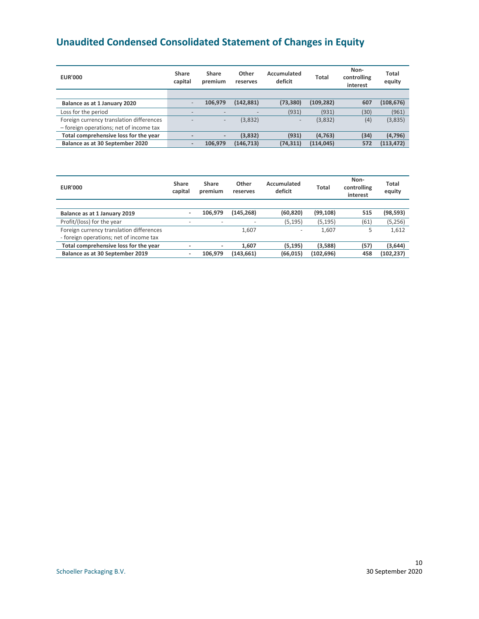# <span id="page-10-0"></span>**Unaudited Condensed Consolidated Statement of Changes in Equity**

| <b>EUR'000</b>                           | Share<br>capital         | <b>Share</b><br>premium  | Other<br>reserves | Accumulated<br>deficit   | Total      | Non-<br>controlling<br>interest | Total<br>equity |
|------------------------------------------|--------------------------|--------------------------|-------------------|--------------------------|------------|---------------------------------|-----------------|
|                                          |                          |                          |                   |                          |            |                                 |                 |
| Balance as at 1 January 2020             |                          | 106.979                  | (142, 881)        | (73, 380)                | (109, 282) | 607                             | (108, 676)      |
| Loss for the period                      | $\overline{\phantom{a}}$ |                          |                   | (931)                    | (931)      | (30)                            | (961)           |
| Foreign currency translation differences |                          | $-$                      | (3,832)           | $\overline{\phantom{a}}$ | (3,832)    | (4)                             | (3,835)         |
| - foreign operations; net of income tax  |                          |                          |                   |                          |            |                                 |                 |
| Total comprehensive loss for the year    |                          | $\overline{\phantom{0}}$ | (3,832)           | (931)                    | (4, 763)   | (34)                            | (4, 796)        |
| Balance as at 30 September 2020          | $\overline{\phantom{0}}$ | 106.979                  | (146, 713)        | (74.311)                 | (114, 045) | 572                             | (113, 472)      |

| <b>EUR'000</b>                                                                      | Share<br>capital         | Share<br>premium | <b>Other</b><br>reserves | Accumulated<br>deficit | Total      | Non-<br>controlling<br>interest | Total<br>equity |
|-------------------------------------------------------------------------------------|--------------------------|------------------|--------------------------|------------------------|------------|---------------------------------|-----------------|
|                                                                                     |                          |                  |                          |                        |            |                                 |                 |
| Balance as at 1 January 2019                                                        | ۰.                       | 106.979          | (145, 268)               | (60, 820)              | (99, 108)  | 515                             | (98,593)        |
| Profit/(loss) for the year                                                          | $\overline{\phantom{a}}$ | ٠                | -                        | (5, 195)               | (5, 195)   | (61)                            | (5,256)         |
| Foreign currency translation differences<br>- foreign operations; net of income tax |                          |                  | 1,607                    |                        | 1.607      |                                 | 1,612           |
| Total comprehensive loss for the year                                               | ٠                        | ٠                | 1.607                    | (5, 195)               | (3,588)    | (57)                            | (3,644)         |
| Balance as at 30 September 2019                                                     | $\overline{\phantom{a}}$ | 106.979          | (143, 661)               | (66, 015)              | (102, 696) | 458                             | (102, 237)      |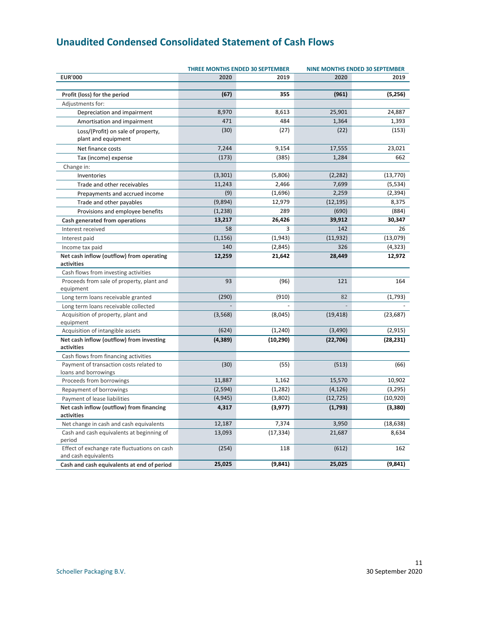# <span id="page-11-0"></span>**Unaudited Condensed Consolidated Statement of Cash Flows**

|                                                           | <b>THREE MONTHS ENDED 30 SEPTEMBER</b> |           | <b>NINE MONTHS ENDED 30 SEPTEMBER</b> |           |  |
|-----------------------------------------------------------|----------------------------------------|-----------|---------------------------------------|-----------|--|
| <b>EUR'000</b>                                            | 2020                                   | 2019      | 2020                                  | 2019      |  |
|                                                           |                                        |           |                                       |           |  |
| Profit (loss) for the period                              | (67)                                   | 355       | (961)                                 | (5,256)   |  |
| Adjustments for:                                          |                                        |           |                                       |           |  |
| Depreciation and impairment                               | 8,970                                  | 8,613     | 25,901                                | 24,887    |  |
| Amortisation and impairment                               | 471                                    | 484       | 1,364                                 | 1,393     |  |
| Loss/(Profit) on sale of property,<br>plant and equipment | (30)                                   | (27)      | (22)                                  | (153)     |  |
| Net finance costs                                         | 7,244                                  | 9,154     | 17,555                                | 23,021    |  |
| Tax (income) expense                                      | (173)                                  | (385)     | 1,284                                 | 662       |  |
| Change in:                                                |                                        |           |                                       |           |  |
| Inventories                                               | (3, 301)                               | (5,806)   | (2, 282)                              | (13, 770) |  |
| Trade and other receivables                               | 11,243                                 | 2,466     | 7,699                                 | (5, 534)  |  |
| Prepayments and accrued income                            | (9)                                    | (1,696)   | 2,259                                 | (2, 394)  |  |
| Trade and other payables                                  | (9,894)                                | 12,979    | (12, 195)                             | 8,375     |  |
| Provisions and employee benefits                          | (1,238)                                | 289       | (690)                                 | (884)     |  |
| Cash generated from operations                            | 13,217                                 | 26,426    | 39,912                                | 30,347    |  |
| Interest received                                         | 58                                     | 3         | 142                                   | 26        |  |
| Interest paid                                             | (1, 156)                               | (1,943)   | (11, 932)                             | (13,079)  |  |
| Income tax paid                                           | 140                                    | (2,845)   | 326                                   | (4, 323)  |  |
| Net cash inflow (outflow) from operating                  | 12,259                                 | 21,642    | 28,449                                | 12,972    |  |
| activities                                                |                                        |           |                                       |           |  |
| Cash flows from investing activities                      |                                        |           |                                       |           |  |
| Proceeds from sale of property, plant and                 | 93                                     | (96)      | 121                                   | 164       |  |
| equipment                                                 |                                        |           |                                       |           |  |
| Long term loans receivable granted                        | (290)                                  | (910)     | 82                                    | (1,793)   |  |
| Long term loans receivable collected                      |                                        |           |                                       |           |  |
| Acquisition of property, plant and<br>equipment           | (3, 568)                               | (8,045)   | (19, 418)                             | (23, 687) |  |
| Acquisition of intangible assets                          | (624)                                  | (1, 240)  | (3,490)                               | (2, 915)  |  |
| Net cash inflow (outflow) from investing<br>activities    | (4, 389)                               | (10, 290) | (22, 706)                             | (28, 231) |  |
| Cash flows from financing activities                      |                                        |           |                                       |           |  |
| Payment of transaction costs related to                   | (30)                                   | (55)      | (513)                                 | (66)      |  |
| loans and borrowings                                      |                                        |           |                                       |           |  |
| Proceeds from borrowings                                  | 11,887                                 | 1,162     | 15,570                                | 10,902    |  |
| Repayment of borrowings                                   | (2, 594)                               | (1, 282)  | (4, 126)                              | (3, 295)  |  |
| Payment of lease liabilities                              | (4, 945)                               | (3,802)   | (12, 725)                             | (10, 920) |  |
| Net cash inflow (outflow) from financing                  | 4,317                                  | (3, 977)  | (1,793)                               | (3,380)   |  |
| activities                                                |                                        |           |                                       |           |  |
| Net change in cash and cash equivalents                   | 12,187                                 | 7,374     | 3,950                                 | (18, 638) |  |
| Cash and cash equivalents at beginning of                 | 13,093                                 | (17, 334) | 21,687                                | 8,634     |  |
| period<br>Effect of exchange rate fluctuations on cash    | (254)                                  | 118       | (612)                                 | 162       |  |
| and cash equivalents                                      |                                        |           |                                       |           |  |
| Cash and cash equivalents at end of period                | 25,025                                 | (9,841)   | 25,025                                | (9,841)   |  |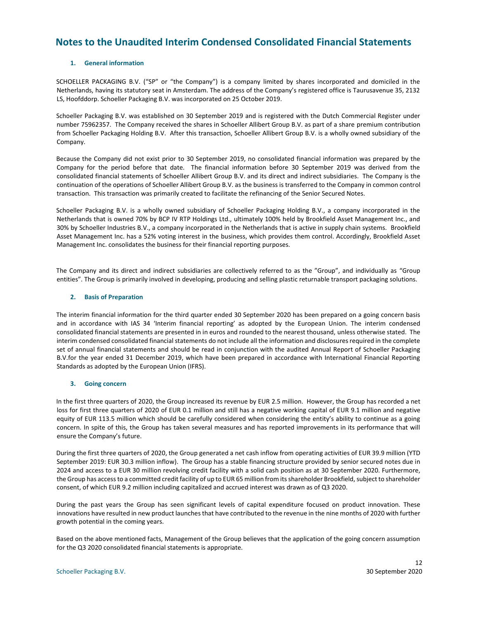### <span id="page-12-0"></span>**Notes to the Unaudited Interim Condensed Consolidated Financial Statements**

#### **1. General information**

SCHOELLER PACKAGING B.V. ("SP" or "the Company") is a company limited by shares incorporated and domiciled in the Netherlands, having its statutory seat in Amsterdam. The address of the Company's registered office is Taurusavenue 35, 2132 LS, Hoofddorp. Schoeller Packaging B.V. was incorporated on 25 October 2019.

Schoeller Packaging B.V. was established on 30 September 2019 and is registered with the Dutch Commercial Register under number 75962357. The Company received the shares in Schoeller Allibert Group B.V. as part of a share premium contribution from Schoeller Packaging Holding B.V. After this transaction, Schoeller Allibert Group B.V. is a wholly owned subsidiary of the Company.

Because the Company did not exist prior to 30 September 2019, no consolidated financial information was prepared by the Company for the period before that date. The financial information before 30 September 2019 was derived from the consolidated financial statements of Schoeller Allibert Group B.V. and its direct and indirect subsidiaries. The Company is the continuation of the operations of Schoeller Allibert Group B.V. as the business is transferred to the Company in common control transaction. This transaction was primarily created to facilitate the refinancing of the Senior Secured Notes.

Schoeller Packaging B.V. is a wholly owned subsidiary of Schoeller Packaging Holding B.V., a company incorporated in the Netherlands that is owned 70% by BCP IV RTP Holdings Ltd., ultimately 100% held by Brookfield Asset Management Inc., and 30% by Schoeller Industries B.V., a company incorporated in the Netherlands that is active in supply chain systems. Brookfield Asset Management Inc. has a 52% voting interest in the business, which provides them control. Accordingly, Brookfield Asset Management Inc. consolidates the business for their financial reporting purposes.

The Company and its direct and indirect subsidiaries are collectively referred to as the "Group", and individually as "Group entities". The Group is primarily involved in developing, producing and selling plastic returnable transport packaging solutions.

#### **2. Basis of Preparation**

The interim financial information for the third quarter ended 30 September 2020 has been prepared on a going concern basis and in accordance with IAS 34 'Interim financial reporting' as adopted by the European Union. The interim condensed consolidated financial statements are presented in in euros and rounded to the nearest thousand, unless otherwise stated. The interim condensed consolidated financial statements do not include all the information and disclosures required in the complete set of annual financial statements and should be read in conjunction with the audited Annual Report of Schoeller Packaging B.V.for the year ended 31 December 2019, which have been prepared in accordance with International Financial Reporting Standards as adopted by the European Union (IFRS).

#### **3. Going concern**

In the first three quarters of 2020, the Group increased its revenue by EUR 2.5 million. However, the Group has recorded a net loss for first three quarters of 2020 of EUR 0.1 million and still has a negative working capital of EUR 9.1 million and negative equity of EUR 113.5 million which should be carefully considered when considering the entity's ability to continue as a going concern. In spite of this, the Group has taken several measures and has reported improvements in its performance that will ensure the Company's future.

During the first three quarters of 2020, the Group generated a net cash inflow from operating activities of EUR 39.9 million (YTD September 2019: EUR 30.3 million inflow). The Group has a stable financing structure provided by senior secured notes due in 2024 and access to a EUR 30 million revolving credit facility with a solid cash position as at 30 September 2020. Furthermore, the Group has access to a committed credit facility of up to EUR 65 million from its shareholder Brookfield, subject to shareholder consent, of which EUR 9.2 million including capitalized and accrued interest was drawn as of Q3 2020.

During the past years the Group has seen significant levels of capital expenditure focused on product innovation. These innovations have resulted in new product launches that have contributed to the revenue in the nine months of 2020 with further growth potential in the coming years.

Based on the above mentioned facts, Management of the Group believes that the application of the going concern assumption for the Q3 2020 consolidated financial statements is appropriate.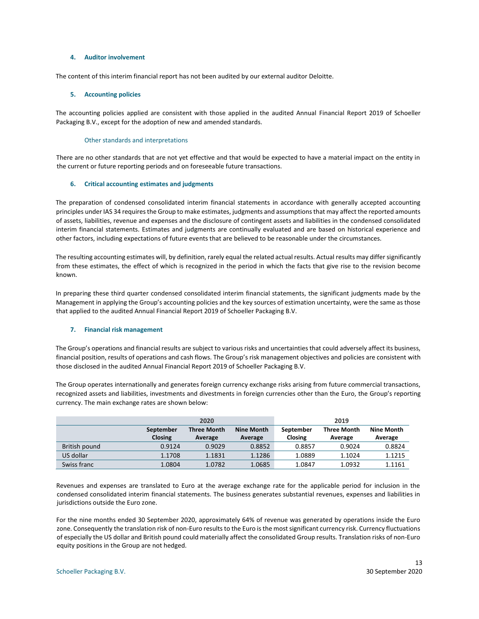#### **4. Auditor involvement**

The content of this interim financial report has not been audited by our external auditor Deloitte.

#### **5. Accounting policies**

The accounting policies applied are consistent with those applied in the audited Annual Financial Report 2019 of Schoeller Packaging B.V., except for the adoption of new and amended standards.

#### Other standards and interpretations

There are no other standards that are not yet effective and that would be expected to have a material impact on the entity in the current or future reporting periods and on foreseeable future transactions.

#### **6. Critical accounting estimates and judgments**

The preparation of condensed consolidated interim financial statements in accordance with generally accepted accounting principles under IAS 34 requires the Group to make estimates, judgments and assumptions that may affect the reported amounts of assets, liabilities, revenue and expenses and the disclosure of contingent assets and liabilities in the condensed consolidated interim financial statements. Estimates and judgments are continually evaluated and are based on historical experience and other factors, including expectations of future events that are believed to be reasonable under the circumstances.

The resulting accounting estimates will, by definition, rarely equal the related actual results. Actual results may differ significantly from these estimates, the effect of which is recognized in the period in which the facts that give rise to the revision become known.

In preparing these third quarter condensed consolidated interim financial statements, the significant judgments made by the Management in applying the Group's accounting policies and the key sources of estimation uncertainty, were the same as those that applied to the audited Annual Financial Report 2019 of Schoeller Packaging B.V.

#### **7. Financial risk management**

The Group's operations and financial results are subject to various risks and uncertainties that could adversely affect its business, financial position, results of operations and cash flows. The Group's risk management objectives and policies are consistent with those disclosed in the audited Annual Financial Report 2019 of Schoeller Packaging B.V.

The Group operates internationally and generates foreign currency exchange risks arising from future commercial transactions, recognized assets and liabilities, investments and divestments in foreign currencies other than the Euro, the Group's reporting currency. The main exchange rates are shown below:

|               |                | 2020               |                   |           | 2019               |                   |
|---------------|----------------|--------------------|-------------------|-----------|--------------------|-------------------|
|               | September      | <b>Three Month</b> | <b>Nine Month</b> | September | <b>Three Month</b> | <b>Nine Month</b> |
|               | <b>Closing</b> | Average            | Average           | Closing   | Average            | Average           |
| British pound | 0.9124         | 0.9029             | 0.8852            | 0.8857    | 0.9024             | 0.8824            |
| US dollar     | 1.1708         | 1.1831             | 1.1286            | 1.0889    | 1.1024             | 1.1215            |
| Swiss franc   | 1.0804         | 1.0782             | 1.0685            | 1.0847    | 1.0932             | 1.1161            |

Revenues and expenses are translated to Euro at the average exchange rate for the applicable period for inclusion in the condensed consolidated interim financial statements. The business generates substantial revenues, expenses and liabilities in jurisdictions outside the Euro zone.

For the nine months ended 30 September 2020, approximately 64% of revenue was generated by operations inside the Euro zone. Consequently the translation risk of non-Euro results to the Euro is the most significant currency risk. Currency fluctuations of especially the US dollar and British pound could materially affect the consolidated Group results. Translation risks of non-Euro equity positions in the Group are not hedged.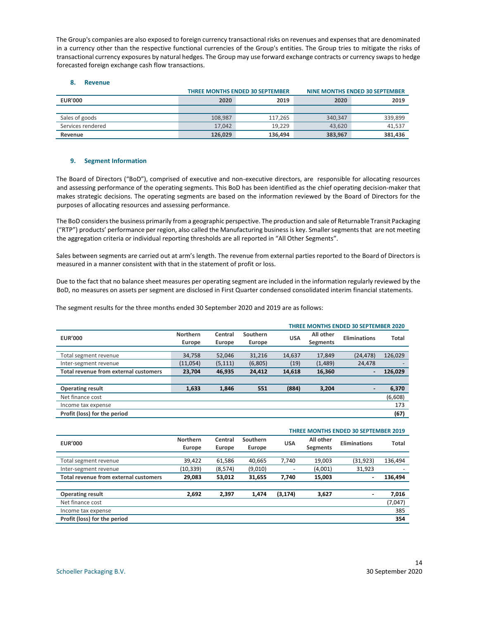The Group's companies are also exposed to foreign currency transactional risks on revenues and expenses that are denominated in a currency other than the respective functional currencies of the Group's entities. The Group tries to mitigate the risks of transactional currency exposures by natural hedges. The Group may use forward exchange contracts or currency swaps to hedge forecasted foreign exchange cash flow transactions.

#### **8. Revenue**

|                   |         | <b>THREE MONTHS ENDED 30 SEPTEMBER</b> | NINE MONTHS ENDED 30 SEPTEMBER |         |  |
|-------------------|---------|----------------------------------------|--------------------------------|---------|--|
| <b>EUR'000</b>    | 2020    | 2019                                   | 2020                           | 2019    |  |
|                   |         |                                        |                                |         |  |
| Sales of goods    | 108.987 | 117.265                                | 340.347                        | 339,899 |  |
| Services rendered | 17.042  | 19.229                                 | 43.620                         | 41,537  |  |
| Revenue           | 126,029 | 136.494                                | 383,967                        | 381,436 |  |

#### **9. Segment Information**

The Board of Directors ("BoD"), comprised of executive and non-executive directors, are responsible for allocating resources and assessing performance of the operating segments. This BoD has been identified as the chief operating decision-maker that makes strategic decisions. The operating segments are based on the information reviewed by the Board of Directors for the purposes of allocating resources and assessing performance.

The BoD considers the business primarily from a geographic perspective. The production and sale of Returnable Transit Packaging ("RTP") products' performance per region, also called the Manufacturing business is key. Smaller segments that are not meeting the aggregation criteria or individual reporting thresholds are all reported in "All Other Segments".

Sales between segments are carried out at arm's length. The revenue from external parties reported to the Board of Directors is measured in a manner consistent with that in the statement of profit or loss.

Due to the fact that no balance sheet measures per operating segment are included in the information regularly reviewed by the BoD, no measures on assets per segment are disclosed in First Quarter condensed consolidated interim financial statements.

The segment results for the three months ended 30 September 2020 and 2019 are as follows:

|                                              | <b>THREE MONTHS ENDED 30 SEPTEMBER 2020</b> |          |          |            |                 |                     |              |
|----------------------------------------------|---------------------------------------------|----------|----------|------------|-----------------|---------------------|--------------|
| <b>EUR'000</b>                               | <b>Northern</b>                             | Central  | Southern | <b>USA</b> | All other       | <b>Eliminations</b> | <b>Total</b> |
|                                              | Europe                                      | Europe   | Europe   |            | <b>Segments</b> |                     |              |
|                                              |                                             |          |          |            |                 |                     |              |
| Total segment revenue                        | 34,758                                      | 52,046   | 31,216   | 14,637     | 17,849          | (24, 478)           | 126,029      |
| Inter-segment revenue                        | (11,054)                                    | (5, 111) | (6,805)  | (19)       | (1,489)         | 24,478              |              |
| <b>Total revenue from external customers</b> | 23,704                                      | 46,935   | 24,412   | 14,618     | 16,360          | $\blacksquare$      | 126,029      |
|                                              |                                             |          |          |            |                 |                     |              |
| <b>Operating result</b>                      | 1,633                                       | 1,846    | 551      | (884)      | 3,204           |                     | 6,370        |
| Net finance cost                             |                                             |          |          |            |                 |                     | (6,608)      |
| Income tax expense                           |                                             |          |          |            |                 |                     | 173          |
| Profit (loss) for the period                 |                                             |          |          |            |                 |                     | (67)         |

| <b>THREE MONTHS ENDED 30 SEPTEMBER 2019</b> |                   |                    |            |                              |                          |         |
|---------------------------------------------|-------------------|--------------------|------------|------------------------------|--------------------------|---------|
| <b>Northern</b><br>Europe                   | Central<br>Europe | Southern<br>Europe | <b>USA</b> | All other<br><b>Segments</b> | <b>Eliminations</b>      | Total   |
| 39,422                                      | 61.586            | 40.665             | 7,740      | 19,003                       | (31, 923)                | 136,494 |
| (10, 339)                                   | (8,574)           | (9,010)            |            | (4,001)                      | 31,923                   |         |
| 29,083                                      | 53,012            | 31,655             | 7,740      | 15,003                       | $\overline{\phantom{0}}$ | 136,494 |
|                                             |                   |                    |            |                              |                          |         |
| 2,692                                       | 2,397             | 1,474              | (3, 174)   | 3,627                        | $\blacksquare$           | 7,016   |
|                                             |                   |                    |            |                              |                          | (7,047) |
|                                             |                   |                    |            |                              |                          | 385     |
|                                             |                   |                    |            |                              |                          | 354     |
|                                             |                   |                    |            |                              |                          |         |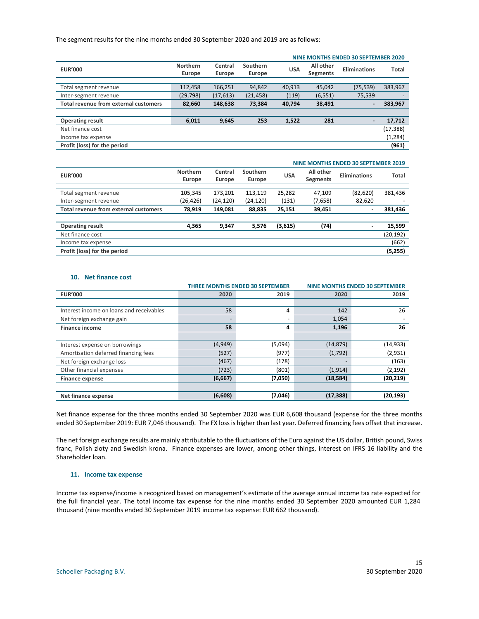The segment results for the nine months ended 30 September 2020 and 2019 are as follows:

|                                              | NINE MONTHS ENDED 30 SEPTEMBER 2020 |           |           |            |                 |                |           |
|----------------------------------------------|-------------------------------------|-----------|-----------|------------|-----------------|----------------|-----------|
| <b>EUR'000</b>                               | <b>Northern</b>                     | Central   | Southern  | <b>USA</b> | All other       | Eliminations   | Total     |
|                                              | Europe                              | Europe    | Europe    |            | <b>Segments</b> |                |           |
|                                              |                                     |           |           |            |                 |                |           |
| Total segment revenue                        | 112,458                             | 166.251   | 94.842    | 40.913     | 45.042          | (75, 539)      | 383,967   |
| Inter-segment revenue                        | (29, 798)                           | (17, 613) | (21, 458) | (119)      | (6, 551)        | 75,539         |           |
| <b>Total revenue from external customers</b> | 82,660                              | 148.638   | 73,384    | 40.794     | 38,491          | $\blacksquare$ | 383,967   |
|                                              |                                     |           |           |            |                 |                |           |
| <b>Operating result</b>                      | 6.011                               | 9,645     | 253       | 1,522      | 281             | -              | 17,712    |
| Net finance cost                             |                                     |           |           |            |                 |                | (17, 388) |
| Income tax expense                           |                                     |           |           |            |                 | (1, 284)       |           |
| Profit (loss) for the period                 | (961)                               |           |           |            |                 |                |           |

|                                              | NINE MONTHS ENDED 30 SEPTEMBER 2019 |                   |                    |            |                              |                |              |
|----------------------------------------------|-------------------------------------|-------------------|--------------------|------------|------------------------------|----------------|--------------|
| <b>EUR'000</b>                               | <b>Northern</b><br>Europe           | Central<br>Europe | Southern<br>Europe | <b>USA</b> | All other<br><b>Segments</b> | Eliminations   | <b>Total</b> |
| Total segment revenue                        | 105,345                             | 173,201           | 113,119            | 25,282     | 47,109                       | (82, 620)      | 381,436      |
| Inter-segment revenue                        | (26,426)                            | (24, 120)         | (24,120)           | (131)      | (7,658)                      | 82,620         |              |
| <b>Total revenue from external customers</b> | 78,919                              | 149.081           | 88,835             | 25,151     | 39,451                       | $\blacksquare$ | 381,436      |
|                                              |                                     |                   |                    |            |                              |                |              |
| <b>Operating result</b>                      | 4,365                               | 9,347             | 5,576              | (3,615)    | (74)                         |                | 15,599       |
| Net finance cost                             |                                     |                   |                    |            |                              |                | (20,192)     |
| Income tax expense                           |                                     |                   |                    |            |                              |                | (662)        |
| Profit (loss) for the period                 |                                     |                   |                    |            |                              |                | (5,255)      |

#### **10. Net finance cost**

|                                          |         | <b>THREE MONTHS ENDED 30 SEPTEMBER</b> | <b>NINE MONTHS ENDED 30 SEPTEMBER</b> |           |  |
|------------------------------------------|---------|----------------------------------------|---------------------------------------|-----------|--|
| <b>EUR'000</b>                           | 2020    | 2019                                   | 2020                                  | 2019      |  |
|                                          |         |                                        |                                       |           |  |
| Interest income on loans and receivables | 58      | 4                                      | 142                                   | 26        |  |
| Net foreign exchange gain                |         |                                        | 1,054                                 |           |  |
| <b>Finance income</b>                    | 58      | 4                                      | 1,196                                 | 26        |  |
|                                          |         |                                        |                                       |           |  |
| Interest expense on borrowings           | (4,949) | (5,094)                                | (14, 879)                             | (14, 933) |  |
| Amortisation deferred financing fees     | (527)   | (977)                                  | (1,792)                               | (2,931)   |  |
| Net foreign exchange loss                | (467)   | (178)                                  |                                       | (163)     |  |
| Other financial expenses                 | (723)   | (801)                                  | (1, 914)                              | (2, 192)  |  |
| <b>Finance expense</b>                   | (6,667) | (7,050)                                | (18, 584)                             | (20, 219) |  |
|                                          |         |                                        |                                       |           |  |
| Net finance expense                      | (6,608) | (7,046)                                | (17, 388)                             | (20, 193) |  |

Net finance expense for the three months ended 30 September 2020 was EUR 6,608 thousand (expense for the three months ended 30 September 2019: EUR 7,046 thousand). The FX loss is higher than last year. Deferred financing fees offset that increase.

The net foreign exchange results are mainly attributable to the fluctuations of the Euro against the US dollar, British pound, Swiss franc, Polish zloty and Swedish krona. Finance expenses are lower, among other things, interest on IFRS 16 liability and the Shareholder loan.

#### **11. Income tax expense**

Income tax expense/income is recognized based on management's estimate of the average annual income tax rate expected for the full financial year. The total income tax expense for the nine months ended 30 September 2020 amounted EUR 1,284 thousand (nine months ended 30 September 2019 income tax expense: EUR 662 thousand).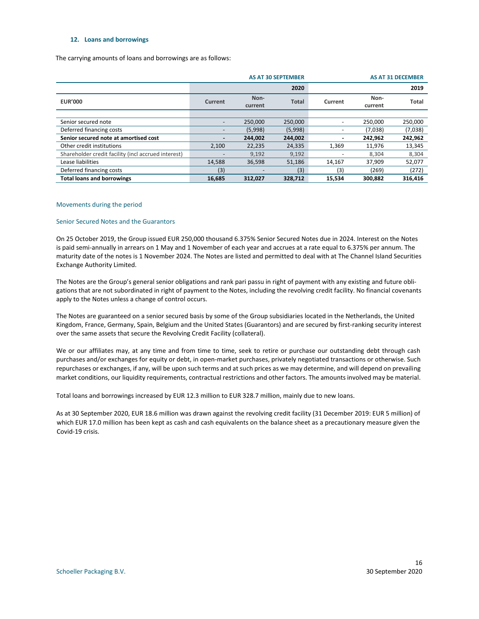#### **12. Loans and borrowings**

The carrying amounts of loans and borrowings are as follows:

|                                                     |                          |                 | <b>AS AT 30 SEPTEMBER</b> | <b>AS AT 31 DECEMBER</b>   |         |              |
|-----------------------------------------------------|--------------------------|-----------------|---------------------------|----------------------------|---------|--------------|
|                                                     |                          |                 | 2020                      | 2019                       |         |              |
| <b>EUR'000</b>                                      | Current                  | Non-<br>current | <b>Total</b>              | Non-<br>Current<br>current |         | <b>Total</b> |
|                                                     |                          |                 |                           |                            |         |              |
| Senior secured note                                 | $\overline{\phantom{0}}$ | 250.000         | 250.000                   | -                          | 250.000 | 250,000      |
| Deferred financing costs                            |                          | (5,998)         | (5,998)                   |                            | (7,038) | (7,038)      |
| Senior secured note at amortised cost               |                          | 244.002         | 244.002                   |                            | 242.962 | 242,962      |
| Other credit institutions                           | 2,100                    | 22,235          | 24,335                    | 1,369                      | 11,976  | 13,345       |
| Shareholder credit facility (incl accrued interest) |                          | 9.192           | 9,192                     |                            | 8.304   | 8,304        |
| Lease liabilities                                   | 14.588                   | 36,598          | 51,186                    | 14.167                     | 37.909  | 52,077       |
| Deferred financing costs                            | (3)                      |                 | (3)                       | (3)                        | (269)   | (272)        |
| <b>Total loans and borrowings</b>                   | 16,685                   | 312,027         | 328,712                   | 15,534                     | 300.882 | 316,416      |

#### Movements during the period

#### Senior Secured Notes and the Guarantors

On 25 October 2019, the Group issued EUR 250,000 thousand 6.375% Senior Secured Notes due in 2024. Interest on the Notes is paid semi-annually in arrears on 1 May and 1 November of each year and accrues at a rate equal to 6.375% per annum. The maturity date of the notes is 1 November 2024. The Notes are listed and permitted to deal with at The Channel Island Securities Exchange Authority Limited.

The Notes are the Group's general senior obligations and rank pari passu in right of payment with any existing and future obligations that are not subordinated in right of payment to the Notes, including the revolving credit facility. No financial covenants apply to the Notes unless a change of control occurs.

The Notes are guaranteed on a senior secured basis by some of the Group subsidiaries located in the Netherlands, the United Kingdom, France, Germany, Spain, Belgium and the United States (Guarantors) and are secured by first-ranking security interest over the same assets that secure the Revolving Credit Facility (collateral).

We or our affiliates may, at any time and from time to time, seek to retire or purchase our outstanding debt through cash purchases and/or exchanges for equity or debt, in open-market purchases, privately negotiated transactions or otherwise. Such repurchases or exchanges, if any, will be upon such terms and at such prices as we may determine, and will depend on prevailing market conditions, our liquidity requirements, contractual restrictions and other factors. The amounts involved may be material.

Total loans and borrowings increased by EUR 12.3 million to EUR 328.7 million, mainly due to new loans.

As at 30 September 2020, EUR 18.6 million was drawn against the revolving credit facility (31 December 2019: EUR 5 million) of which EUR 17.0 million has been kept as cash and cash equivalents on the balance sheet as a precautionary measure given the Covid-19 crisis.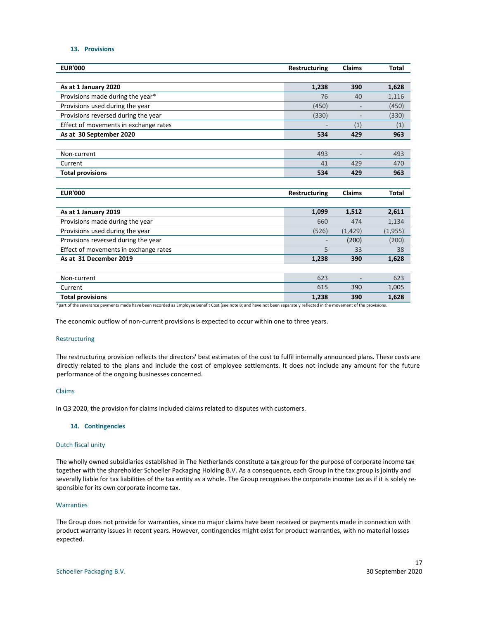#### **13. Provisions**

| <b>EUR'000</b>                        | Restructuring        | Claims        | <b>Total</b> |
|---------------------------------------|----------------------|---------------|--------------|
|                                       |                      |               |              |
| As at 1 January 2020                  | 1,238                | 390           | 1,628        |
| Provisions made during the year*      | 76                   | 40            | 1,116        |
| Provisions used during the year       | (450)                |               | (450)        |
| Provisions reversed during the year   | (330)                |               | (330)        |
| Effect of movements in exchange rates |                      | (1)           | (1)          |
| As at 30 September 2020               | 534                  | 429           | 963          |
|                                       |                      |               |              |
| Non-current                           | 493                  |               | 493          |
| Current                               | 41                   | 429           | 470          |
| <b>Total provisions</b>               | 534                  | 429           | 963          |
|                                       |                      |               |              |
| <b>EUR'000</b>                        | <b>Restructuring</b> | <b>Claims</b> | <b>Total</b> |
|                                       |                      |               |              |
| As at 1 January 2019                  | 1,099                | 1,512         | 2,611        |
| Provisions made during the year       | 660                  | 474           | 1,134        |
| Provisions used during the year       | (526)                | (1, 429)      | (1,955)      |
| Provisions reversed during the year   |                      | (200)         | (200)        |
| Effect of movements in exchange rates | 5                    | 33            | 38           |
| As at 31 December 2019                | 1,238                | 390           | 1,628        |
|                                       |                      |               |              |
| Non-current                           | 623                  |               | 623          |
| Current                               | 615                  | 390           | 1,005        |
| <b>Total provisions</b>               | 1,238                | 390           | 1,628        |

\*part of the severance payments made have been recorded as Employee Benefit Cost (see note 8; and have not been separately reflected in the movement of the provisions.

The economic outflow of non-current provisions is expected to occur within one to three years.

#### Restructuring

The restructuring provision reflects the directors' best estimates of the cost to fulfil internally announced plans. These costs are directly related to the plans and include the cost of employee settlements. It does not include any amount for the future performance of the ongoing businesses concerned.

#### Claims

In Q3 2020, the provision for claims included claims related to disputes with customers.

#### **14. Contingencies**

#### Dutch fiscal unity

The wholly owned subsidiaries established in The Netherlands constitute a tax group for the purpose of corporate income tax together with the shareholder Schoeller Packaging Holding B.V. As a consequence, each Group in the tax group is jointly and severally liable for tax liabilities of the tax entity as a whole. The Group recognises the corporate income tax as if it is solely responsible for its own corporate income tax.

#### **Warranties**

The Group does not provide for warranties, since no major claims have been received or payments made in connection with product warranty issues in recent years. However, contingencies might exist for product warranties, with no material losses expected.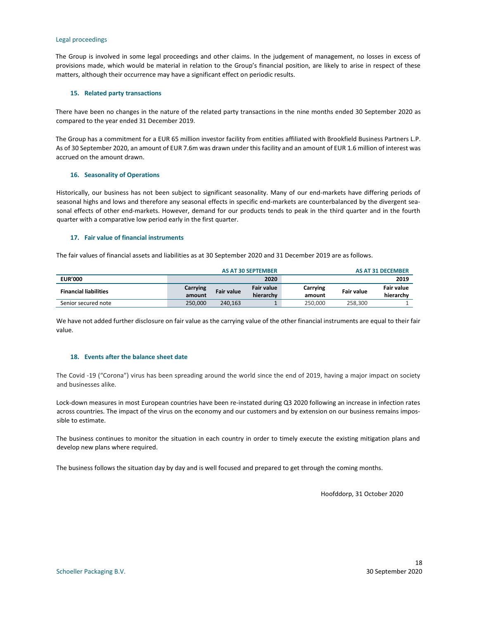#### Legal proceedings

The Group is involved in some legal proceedings and other claims. In the judgement of management, no losses in excess of provisions made, which would be material in relation to the Group's financial position, are likely to arise in respect of these matters, although their occurrence may have a significant effect on periodic results.

#### **15. Related party transactions**

There have been no changes in the nature of the related party transactions in the nine months ended 30 September 2020 as compared to the year ended 31 December 2019.

The Group has a commitment for a EUR 65 million investor facility from entities affiliated with Brookfield Business Partners L.P. As of 30 September 2020, an amount of EUR 7.6m was drawn under this facility and an amount of EUR 1.6 million of interest was accrued on the amount drawn.

#### **16. Seasonality of Operations**

Historically, our business has not been subject to significant seasonality. Many of our end-markets have differing periods of seasonal highs and lows and therefore any seasonal effects in specific end-markets are counterbalanced by the divergent seasonal effects of other end-markets. However, demand for our products tends to peak in the third quarter and in the fourth quarter with a comparative low period early in the first quarter.

#### **17. Fair value of financial instruments**

The fair values of financial assets and liabilities as at 30 September 2020 and 31 December 2019 are as follows.

|                              | <b>AS AT 30 SEPTEMBER</b> |                   |                                | <b>AS AT 31 DECEMBER</b> |            |                         |
|------------------------------|---------------------------|-------------------|--------------------------------|--------------------------|------------|-------------------------|
| <b>EUR'000</b>               |                           |                   | 2020                           |                          |            | 2019                    |
| <b>Financial liabilities</b> | Carrying<br>amount        | <b>Fair value</b> | <b>Fair value</b><br>hierarchy | Carrying<br>amount       | Fair value | Fair value<br>hierarchy |
| Senior secured note          | 250.000                   | 240.163           |                                | 250.000                  | 258.300    |                         |

We have not added further disclosure on fair value as the carrying value of the other financial instruments are equal to their fair value.

#### **18. Events after the balance sheet date**

The Covid -19 ("Corona") virus has been spreading around the world since the end of 2019, having a major impact on society and businesses alike.

Lock-down measures in most European countries have been re-instated during Q3 2020 following an increase in infection rates across countries. The impact of the virus on the economy and our customers and by extension on our business remains impossible to estimate.

The business continues to monitor the situation in each country in order to timely execute the existing mitigation plans and develop new plans where required.

The business follows the situation day by day and is well focused and prepared to get through the coming months.

Hoofddorp, 31 October 2020